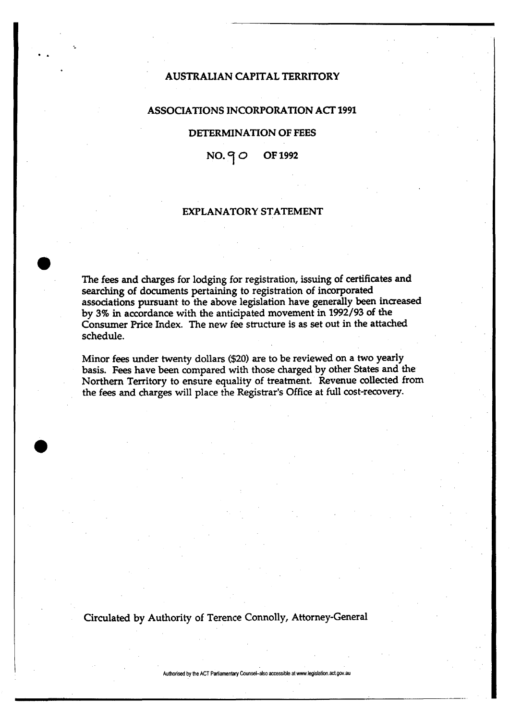# AUSTRALIAN CAPITAL TERRITORY

### ASSOCIATIONS INCORPORATION ACT 1991

### DETERMINATION OF FEES

 $NO.90$  OF 1992

## EXPLANATORY STATEMENT

The fees and charges for lodging for registration, issuing of certificates and searching of documents pertaining to registration of incorporated associations pursuant to the above legislation have generally been increased by 3% in accordance with the anticipated movement in 1992/93 of the Consumer Price Index. The new fee structure is as set out in the attached schedule.

Minor fees under twenty dollars (\$20) are to be reviewed on a two yearly basis. Fees have been compared with those charged by other States and the Northern Territory to ensure equality of treatment. Revenue collected from the fees and charges will place the Registrar's Office at full cost-recovery.

Circulated by Authority of Terence Connolly, Attorney-General

**Authorised by the ACT Parliamentary Counsel-also accessible at www.legislation.act.gov.au**